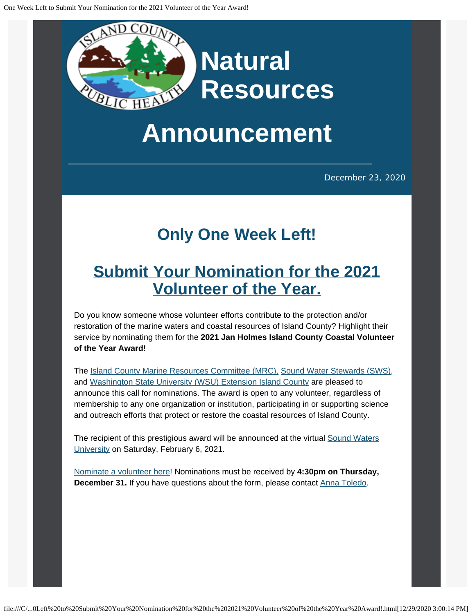

## **Announcement**

December 23, 2020

## **Only One Week Left!**

## **[Submit Your Nomination for the 2021](https://www.cognitoforms.com/IslandCounty4/JanHolmesIslandCountyCoastalVolunteerOfTheYearNominationForm?utm_content=&utm_medium=email&utm_name=&utm_source=govdelivery&utm_term=) [Volunteer of the Year.](https://www.cognitoforms.com/IslandCounty4/JanHolmesIslandCountyCoastalVolunteerOfTheYearNominationForm?utm_content=&utm_medium=email&utm_name=&utm_source=govdelivery&utm_term=)**

Do you know someone whose volunteer efforts contribute to the protection and/or restoration of the marine waters and coastal resources of Island County? Highlight their service by nominating them for the **2021 Jan Holmes Island County Coastal Volunteer of the Year Award!**

The [Island County Marine Resources Committee \(MRC\),](https://www.islandcountymrc.org/?utm_content=&utm_medium=email&utm_name=&utm_source=govdelivery&utm_term=) [Sound Water Stewards \(SWS\),](https://soundwaterstewards.org/web/?utm_content=&utm_medium=email&utm_name=&utm_source=govdelivery&utm_term=) and [Washington State University \(WSU\) Extension Island County](https://extension.wsu.edu/island/?utm_content=&utm_medium=email&utm_name=&utm_source=govdelivery&utm_term=) are pleased to announce this call for nominations. The award is open to any volunteer, regardless of membership to any one organization or institution, participating in or supporting science and outreach efforts that protect or restore the coastal resources of Island County.

The recipient of this prestigious award will be announced at the virtual [Sound Waters](https://www.soundwatersuniversity.org/?utm_content=&utm_medium=email&utm_name=&utm_source=govdelivery&utm_term=) [University](https://www.soundwatersuniversity.org/?utm_content=&utm_medium=email&utm_name=&utm_source=govdelivery&utm_term=) on Saturday, February 6, 2021.

[Nominate a volunteer here](https://www.cognitoforms.com/IslandCounty4/JanHolmesIslandCountyCoastalVolunteerOfTheYearNominationForm?utm_content=&utm_medium=email&utm_name=&utm_source=govdelivery&utm_term=)! Nominations must be received by **4:30pm on Thursday, December 31.** If you have questions about the form, please contact [Anna Toledo](mailto:a.toledo@islandcountywa.gov).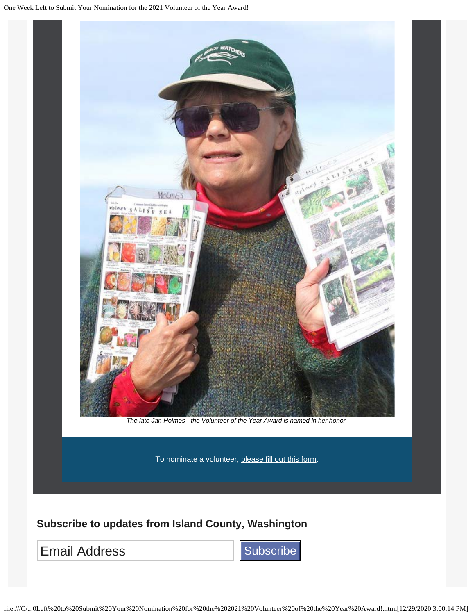

## **Subscribe to updates from Island County, Washington**

Email Address **Subscribe**